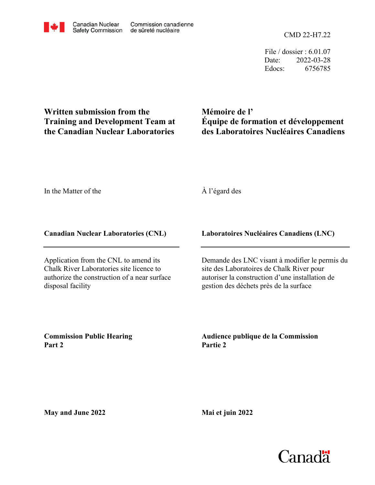CMD 22-H7.22

File / dossier : 6.01.07 Date: 2022-03-28 Edocs: 6756785

# **Written submission from the Training and Development Team at the Canadian Nuclear Laboratories**

**Mémoire de l' Équipe de formation et développement des Laboratoires Nucléaires Canadiens**

In the Matter of the

À l'égard des

# **Canadian Nuclear Laboratories (CNL)**

Application from the CNL to amend its Chalk River Laboratories site licence to authorize the construction of a near surface disposal facility

# **Laboratoires Nucléaires Canadiens (LNC)**

Demande des LNC visant à modifier le permis du site des Laboratoires de Chalk River pour autoriser la construction d'une installation de gestion des déchets près de la surface

**Commission Public Hearing Part 2**

**Audience publique de la Commission Partie 2**

**May and June 2022**

**Mai et juin 2022**